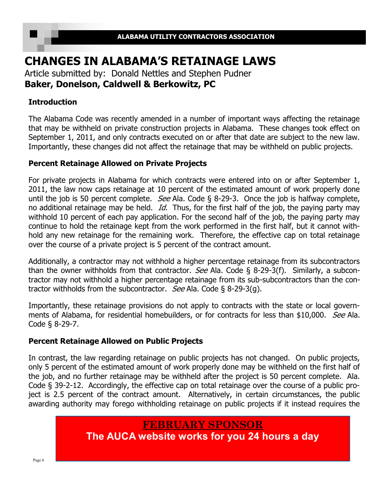# **CHANGES IN ALABAMA'S RETAINAGE LAWS**

Article submitted by: Donald Nettles and Stephen Pudner **Baker, Donelson, Caldwell & Berkowitz, PC** 

### **Introduction**

The Alabama Code was recently amended in a number of important ways affecting the retainage that may be withheld on private construction projects in Alabama. These changes took effect on September 1, 2011, and only contracts executed on or after that date are subject to the new law. Importantly, these changes did not affect the retainage that may be withheld on public projects.

### **Percent Retainage Allowed on Private Projects**

For private projects in Alabama for which contracts were entered into on or after September 1, 2011, the law now caps retainage at 10 percent of the estimated amount of work properly done until the job is 50 percent complete. *See* Ala. Code § 8-29-3. Once the job is halfway complete, no additional retainage may be held. *Id.* Thus, for the first half of the job, the paying party may withhold 10 percent of each pay application. For the second half of the job, the paying party may continue to hold the retainage kept from the work performed in the first half, but it cannot withhold any new retainage for the remaining work. Therefore, the effective cap on total retainage over the course of a private project is 5 percent of the contract amount.

Additionally, a contractor may not withhold a higher percentage retainage from its subcontractors than the owner withholds from that contractor. See Ala. Code  $\S$  8-29-3(f). Similarly, a subcontractor may not withhold a higher percentage retainage from its sub-subcontractors than the contractor withholds from the subcontractor. See Ala. Code § 8-29-3(g).

Importantly, these retainage provisions do not apply to contracts with the state or local governments of Alabama, for residential homebuilders, or for contracts for less than \$10,000. See Ala. Code § 8-29-7.

### **Percent Retainage Allowed on Public Projects**

In contrast, the law regarding retainage on public projects has not changed. On public projects, only 5 percent of the estimated amount of work properly done may be withheld on the first half of the job, and no further retainage may be withheld after the project is 50 percent complete. Ala. Code § 39-2-12. Accordingly, the effective cap on total retainage over the course of a public project is 2.5 percent of the contract amount. Alternatively, in certain circumstances, the public awarding authority may forego withholding retainage on public projects if it instead requires the

### **FEBRUARY SPONSOR**

**The AUCA website works for you 24 hours a day**